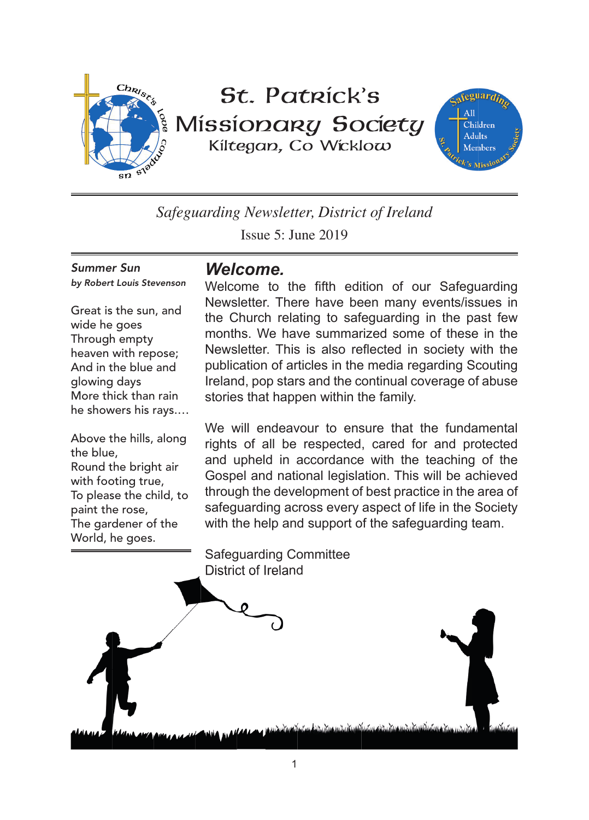

# St. Patrick's Missionary Society Kiltegan, Co Wicklow



*Safeguarding Newsletter, District of Ireland*

Issue 5: June 2019

Summer Sun by Robert Louis Stevenson

Great is the sun, and wide he goes Through empty heaven with repose; And in the blue and glowing days More thick than rain he showers his rays.…

Above the hills, along the blue, Round the bright air with footing true, To please the child, to paint the rose, The gardener of the World, he goes.

## *Welcome.*

Welcome to the fifth edition of our Safeguarding Newsletter. There have been many events/issues in the Church relating to safeguarding in the past few months. We have summarized some of these in the Newsletter. This is also reflected in society with the publication of articles in the media regarding Scouting Ireland, pop stars and the continual coverage of abuse stories that happen within the family.

We will endeavour to ensure that the fundamental rights of all be respected, cared for and protected and upheld in accordance with the teaching of the Gospel and national legislation. This will be achieved through the development of best practice in the area of safeguarding across every aspect of life in the Society with the help and support of the safeguarding team.



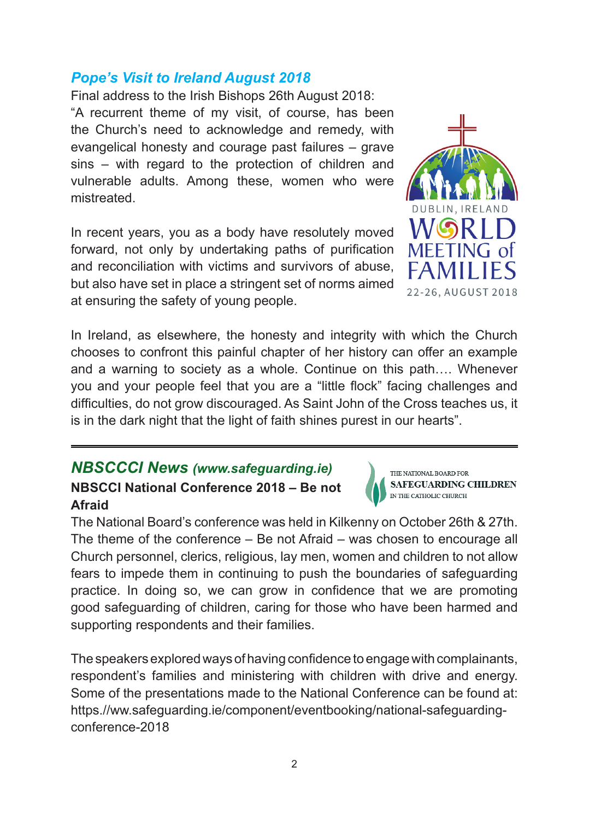## *Pope's Visit to Ireland August 2018*

Final address to the Irish Bishops 26th August 2018: "A recurrent theme of my visit, of course, has been the Church's need to acknowledge and remedy, with evangelical honesty and courage past failures – grave sins – with regard to the protection of children and vulnerable adults. Among these, women who were mistreated.

In recent years, you as a body have resolutely moved forward, not only by undertaking paths of purification and reconciliation with victims and survivors of abuse, but also have set in place a stringent set of norms aimed at ensuring the safety of young people.

In Ireland, as elsewhere, the honesty and integrity with which the Church chooses to confront this painful chapter of her history can offer an example and a warning to society as a whole. Continue on this path…. Whenever you and your people feel that you are a "little flock" facing challenges and difficulties, do not grow discouraged. As Saint John of the Cross teaches us, it is in the dark night that the light of faith shines purest in our hearts".

## *NBSCCCI News (www.safeguarding.ie)* **NBSCCI National Conference 2018 – Be not Afraid**

The National Board's conference was held in Kilkenny on October 26th & 27th. The theme of the conference – Be not Afraid – was chosen to encourage all Church personnel, clerics, religious, lay men, women and children to not allow fears to impede them in continuing to push the boundaries of safeguarding practice. In doing so, we can grow in confidence that we are promoting good safeguarding of children, caring for those who have been harmed and supporting respondents and their families.

The speakers explored ways of having confidence to engage with complainants, respondent's families and ministering with children with drive and energy. Some of the presentations made to the National Conference can be found at: https.//ww.safeguarding.ie/component/eventbooking/national-safeguardingconference-2018



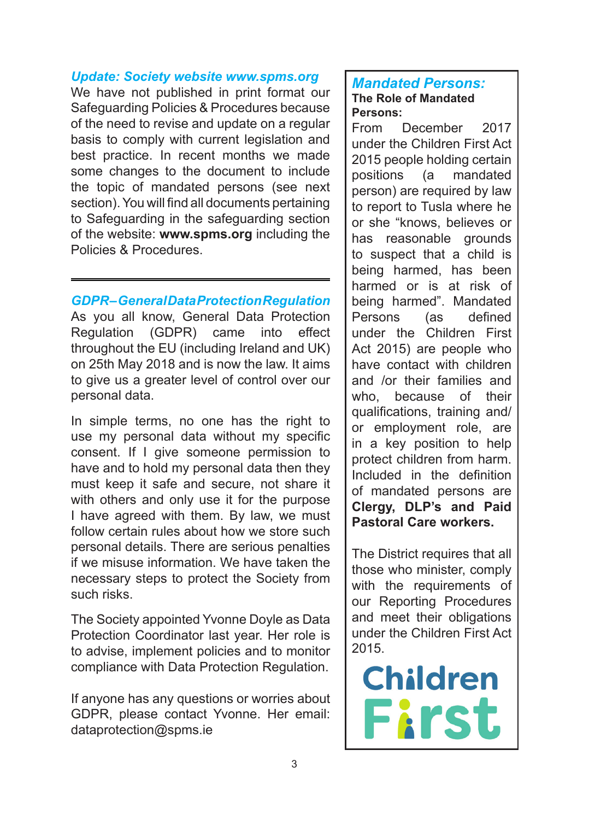#### *Update: Society website www.spms.org*

We have not published in print format our Safeguarding Policies & Procedures because of the need to revise and update on a regular basis to comply with current legislation and best practice. In recent months we made some changes to the document to include the topic of mandated persons (see next section). You will find all documents pertaining to Safeguarding in the safeguarding section of the website: **www.spms.org** including the Policies & Procedures.

*GDPR – General Data Protection Regulation* As you all know, General Data Protection Regulation (GDPR) came into effect throughout the EU (including Ireland and UK) on 25th May 2018 and is now the law. It aims to give us a greater level of control over our personal data.

In simple terms, no one has the right to use my personal data without my specific consent. If I give someone permission to have and to hold my personal data then they must keep it safe and secure, not share it with others and only use it for the purpose I have agreed with them. By law, we must follow certain rules about how we store such personal details. There are serious penalties if we misuse information. We have taken the necessary steps to protect the Society from such risks.

The Society appointed Yvonne Doyle as Data Protection Coordinator last year. Her role is to advise, implement policies and to monitor compliance with Data Protection Regulation.

If anyone has any questions or worries about GDPR, please contact Yvonne. Her email: dataprotection@spms.ie

#### *Mandated Persons:* **The Role of Mandated Persons:**

From December 2017 under the Children First Act 2015 people holding certain<br>positions (a mandated (a mandated person) are required by law to report to Tusla where he or she "knows, believes or has reasonable grounds to suspect that a child is being harmed, has been harmed or is at risk of being harmed". Mandated Persons (as defined under the Children First Act 2015) are people who have contact with children and /or their families and who, because of their qualifications, training and/ or employment role, are in a key position to help protect children from harm. Included in the definition of mandated persons are **Clergy, DLP's and Paid Pastoral Care workers.** 

The District requires that all those who minister, comply with the requirements of our Reporting Procedures and meet their obligations under the Children First Act 2015.

**Children First**